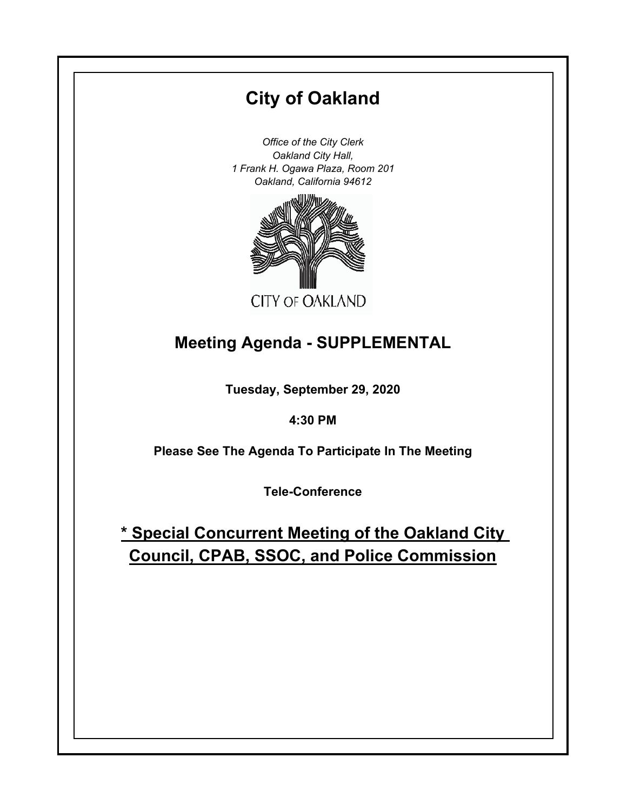# **City of Oakland**

*Office of the City Clerk Oakland City Hall, 1 Frank H. Ogawa Plaza, Room 201 Oakland, California 94612*



## **Meeting Agenda - SUPPLEMENTAL**

**Tuesday, September 29, 2020**

**4:30 PM**

**Please See The Agenda To Participate In The Meeting**

**Tele-Conference**

**\* Special Concurrent Meeting of the Oakland City Council, CPAB, SSOC, and Police Commission**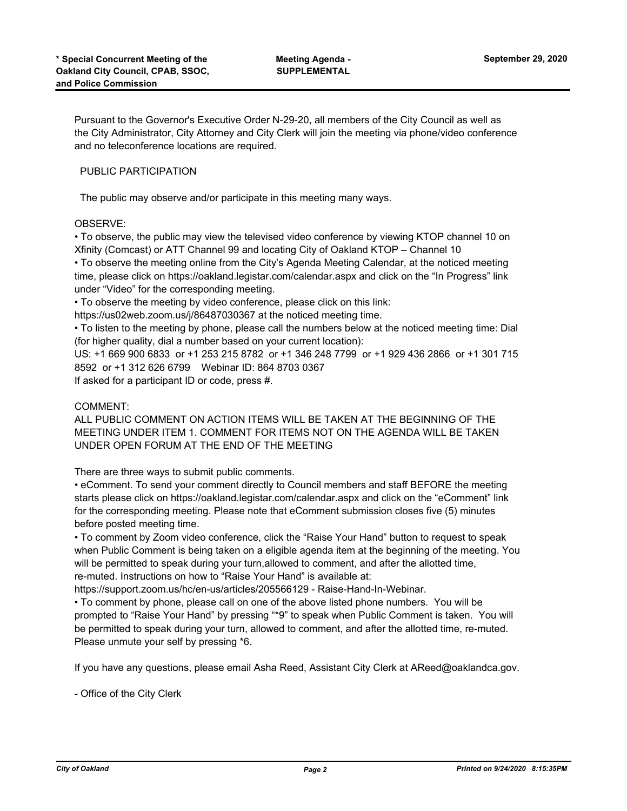Pursuant to the Governor's Executive Order N-29-20, all members of the City Council as well as the City Administrator, City Attorney and City Clerk will join the meeting via phone/video conference and no teleconference locations are required.

## PUBLIC PARTICIPATION

The public may observe and/or participate in this meeting many ways.

### OBSERVE:

• To observe, the public may view the televised video conference by viewing KTOP channel 10 on Xfinity (Comcast) or ATT Channel 99 and locating City of Oakland KTOP – Channel 10

• To observe the meeting online from the City's Agenda Meeting Calendar, at the noticed meeting time, please click on https://oakland.legistar.com/calendar.aspx and click on the "In Progress" link under "Video" for the corresponding meeting.

• To observe the meeting by video conference, please click on this link:

https://us02web.zoom.us/j/86487030367 at the noticed meeting time.

• To listen to the meeting by phone, please call the numbers below at the noticed meeting time: Dial (for higher quality, dial a number based on your current location):

US: +1 669 900 6833 or +1 253 215 8782 or +1 346 248 7799 or +1 929 436 2866 or +1 301 715 8592 or +1 312 626 6799 Webinar ID: 864 8703 0367

If asked for a participant ID or code, press #.

#### COMMENT:

ALL PUBLIC COMMENT ON ACTION ITEMS WILL BE TAKEN AT THE BEGINNING OF THE MEETING UNDER ITEM 1. COMMENT FOR ITEMS NOT ON THE AGENDA WILL BE TAKEN UNDER OPEN FORUM AT THE END OF THE MEETING

There are three ways to submit public comments.

• eComment. To send your comment directly to Council members and staff BEFORE the meeting starts please click on https://oakland.legistar.com/calendar.aspx and click on the "eComment" link for the corresponding meeting. Please note that eComment submission closes five (5) minutes before posted meeting time.

• To comment by Zoom video conference, click the "Raise Your Hand" button to request to speak when Public Comment is being taken on a eligible agenda item at the beginning of the meeting. You will be permitted to speak during your turn,allowed to comment, and after the allotted time, re-muted. Instructions on how to "Raise Your Hand" is available at:

https://support.zoom.us/hc/en-us/articles/205566129 - Raise-Hand-In-Webinar.

• To comment by phone, please call on one of the above listed phone numbers. You will be prompted to "Raise Your Hand" by pressing "\*9" to speak when Public Comment is taken. You will be permitted to speak during your turn, allowed to comment, and after the allotted time, re-muted. Please unmute your self by pressing \*6.

If you have any questions, please email Asha Reed, Assistant City Clerk at AReed@oaklandca.gov.

- Office of the City Clerk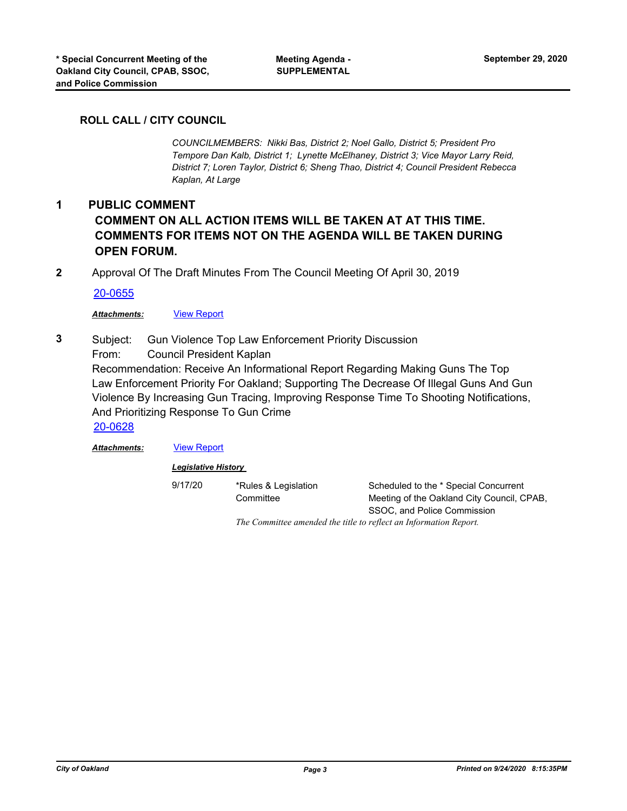## **ROLL CALL / CITY COUNCIL**

*COUNCILMEMBERS: Nikki Bas, District 2; Noel Gallo, District 5; President Pro Tempore Dan Kalb, District 1; Lynette McElhaney, District 3; Vice Mayor Larry Reid, District 7; Loren Taylor, District 6; Sheng Thao, District 4; Council President Rebecca Kaplan, At Large*

## **1 PUBLIC COMMENT COMMENT ON ALL ACTION ITEMS WILL BE TAKEN AT AT THIS TIME. COMMENTS FOR ITEMS NOT ON THE AGENDA WILL BE TAKEN DURING OPEN FORUM.**

**2** Approval Of The Draft Minutes From The Council Meeting Of April 30, 2019

[20-0655](http://oakland.legistar.com/gateway.aspx?m=l&id=/matter.aspx?key=31638)

#### *Attachments:* [View Report](http://oakland.legistar.com/gateway.aspx?M=F&ID=8e0c06d7-4142-4bf5-831b-2a5113763f00.pdf)

Subject: Gun Violence Top Law Enforcement Priority Discussion From: Council President Kaplan **3**

Recommendation: Receive An Informational Report Regarding Making Guns The Top Law Enforcement Priority For Oakland; Supporting The Decrease Of Illegal Guns And Gun Violence By Increasing Gun Tracing, Improving Response Time To Shooting Notifications, And Prioritizing Response To Gun Crime [20-0628](http://oakland.legistar.com/gateway.aspx?m=l&id=/matter.aspx?key=31611)

*Attachments:* [View Report](http://oakland.legistar.com/gateway.aspx?M=F&ID=bcd0fda8-5696-46fe-acba-e9cf4c43186c.pdf)

*Legislative History* 

9/17/20 \*Rules & Legislation **Committee** Scheduled to the \* Special Concurrent Meeting of the Oakland City Council, CPAB, SSOC, and Police Commission *The Committee amended the title to reflect an Information Report.*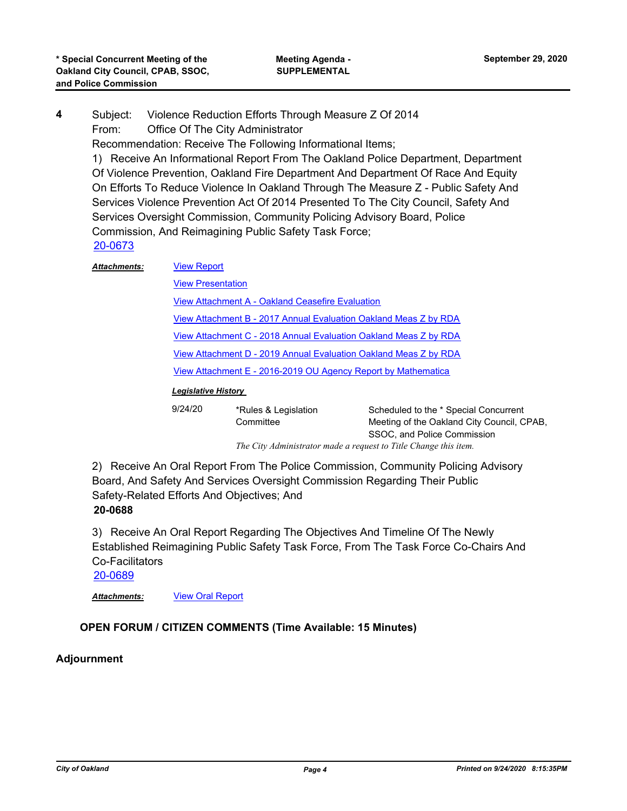Subject: Violence Reduction Efforts Through Measure Z Of 2014 From: Office Of The City Administrator Recommendation: Receive The Following Informational Items; **4**

1) Receive An Informational Report From The Oakland Police Department, Department Of Violence Prevention, Oakland Fire Department And Department Of Race And Equity On Efforts To Reduce Violence In Oakland Through The Measure Z - Public Safety And Services Violence Prevention Act Of 2014 Presented To The City Council, Safety And Services Oversight Commission, Community Policing Advisory Board, Police Commission, And Reimagining Public Safety Task Force; [20-0673](http://oakland.legistar.com/gateway.aspx?m=l&id=/matter.aspx?key=31656)

| 20-00 I U           |                                                                  |
|---------------------|------------------------------------------------------------------|
| <b>Attachments:</b> | <b>View Report</b>                                               |
|                     | <b>View Presentation</b>                                         |
|                     | View Attachment A - Oakland Ceasefire Evaluation                 |
|                     | View Attachment B - 2017 Annual Evaluation Oakland Meas Z by RDA |
|                     | View Attachment C - 2018 Annual Evaluation Oakland Meas Z by RDA |
|                     | View Attachment D - 2019 Annual Evaluation Oakland Meas Z by RDA |
|                     | View Attachment E - 2016-2019 OU Agency Report by Mathematica    |

## *Legislative History*

| 9/24/20 | *Rules & Legislation | Scheduled to the * Special Concurrent      |
|---------|----------------------|--------------------------------------------|
|         | Committee            | Meeting of the Oakland City Council, CPAB, |
|         |                      | SSOC, and Police Commission                |
|         |                      |                                            |

*The City Administrator made a request to Title Change this item.*

2) Receive An Oral Report From The Police Commission, Community Policing Advisory Board, And Safety And Services Oversight Commission Regarding Their Public Safety-Related Efforts And Objectives; And **20-0688**

3) Receive An Oral Report Regarding The Objectives And Timeline Of The Newly Established Reimagining Public Safety Task Force, From The Task Force Co-Chairs And Co-Facilitators

[20-0689](http://oakland.legistar.com/gateway.aspx?m=l&id=/matter.aspx?key=31671)

*Attachments:* [View Oral Report](http://oakland.legistar.com/gateway.aspx?M=F&ID=eddd32e0-a5d8-4fa1-8280-738e8491cd6a.pdf)

## **OPEN FORUM / CITIZEN COMMENTS (Time Available: 15 Minutes)**

## **Adjournment**